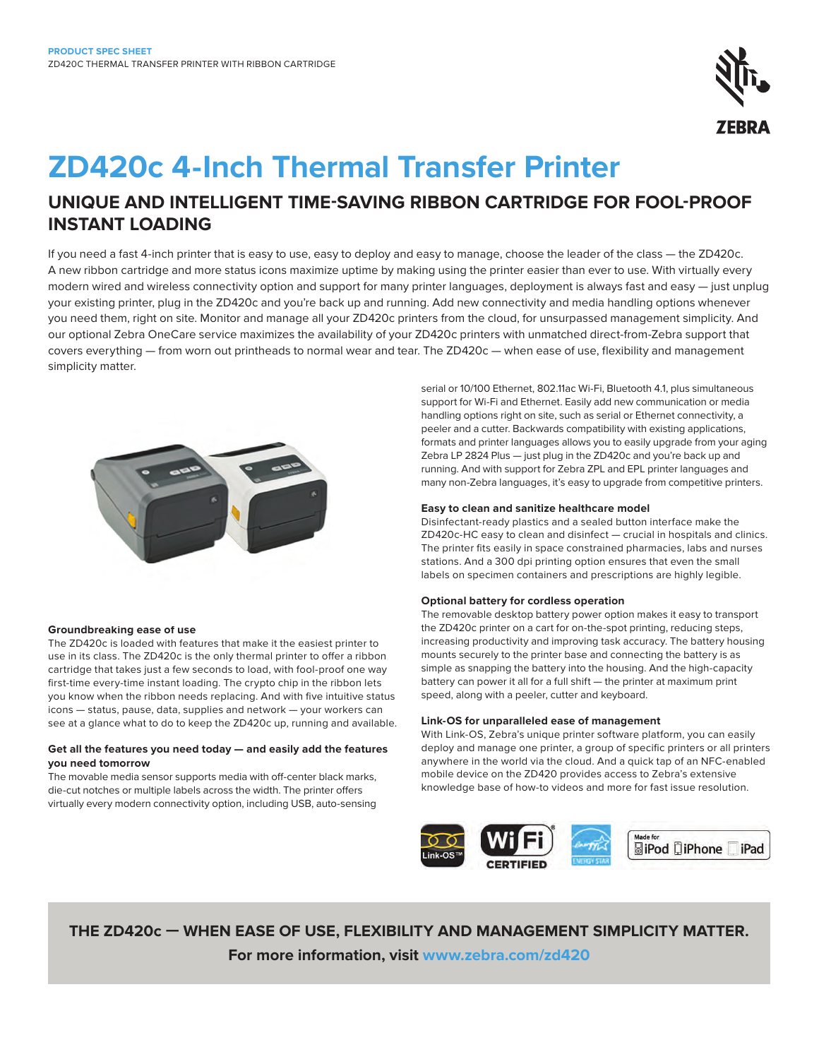

# **ZD420c 4-Inch Thermal Transfer Printer**

## **UNIQUE AND INTELLIGENT TIME-SAVING RIBBON CARTRIDGE FOR FOOL-PROOF INSTANT LOADING**

If you need a fast 4-inch printer that is easy to use, easy to deploy and easy to manage, choose the leader of the class — the ZD420c. A new ribbon cartridge and more status icons maximize uptime by making using the printer easier than ever to use. With virtually every modern wired and wireless connectivity option and support for many printer languages, deployment is always fast and easy — just unplug your existing printer, plug in the ZD420c and you're back up and running. Add new connectivity and media handling options whenever you need them, right on site. Monitor and manage all your ZD420c printers from the cloud, for unsurpassed management simplicity. And our optional Zebra OneCare service maximizes the availability of your ZD420c printers with unmatched direct-from-Zebra support that covers everything — from worn out printheads to normal wear and tear. The ZD420c — when ease of use, flexibility and management simplicity matter.



### **Groundbreaking ease of use**

The ZD420c is loaded with features that make it the easiest printer to use in its class. The ZD420c is the only thermal printer to offer a ribbon cartridge that takes just a few seconds to load, with fool-proof one way first-time every-time instant loading. The crypto chip in the ribbon lets you know when the ribbon needs replacing. And with five intuitive status icons — status, pause, data, supplies and network — your workers can see at a glance what to do to keep the ZD420c up, running and available.

### **Get all the features you need today — and easily add the features you need tomorrow**

The movable media sensor supports media with off-center black marks, die-cut notches or multiple labels across the width. The printer offers virtually every modern connectivity option, including USB, auto-sensing serial or 10/100 Ethernet, 802.11ac Wi-Fi, Bluetooth 4.1, plus simultaneous support for Wi-Fi and Ethernet. Easily add new communication or media handling options right on site, such as serial or Ethernet connectivity, a peeler and a cutter. Backwards compatibility with existing applications, formats and printer languages allows you to easily upgrade from your aging Zebra LP 2824 Plus — just plug in the ZD420c and you're back up and running. And with support for Zebra ZPL and EPL printer languages and many non-Zebra languages, it's easy to upgrade from competitive printers.

### **Easy to clean and sanitize healthcare model**

Disinfectant-ready plastics and a sealed button interface make the ZD420c-HC easy to clean and disinfect — crucial in hospitals and clinics. The printer fits easily in space constrained pharmacies, labs and nurses stations. And a 300 dpi printing option ensures that even the small labels on specimen containers and prescriptions are highly legible.

### **Optional battery for cordless operation**

The removable desktop battery power option makes it easy to transport the ZD420c printer on a cart for on-the-spot printing, reducing steps, increasing productivity and improving task accuracy. The battery housing mounts securely to the printer base and connecting the battery is as simple as snapping the battery into the housing. And the high-capacity battery can power it all for a full shift — the printer at maximum print speed, along with a peeler, cutter and keyboard.

### **Link-OS for unparalleled ease of management**

With Link-OS, Zebra's unique printer software platform, you can easily deploy and manage one printer, a group of specific printers or all printers anywhere in the world via the cloud. And a quick tap of an NFC-enabled mobile device on the ZD420 provides access to Zebra's extensive knowledge base of how-to videos and more for fast issue resolution.



**THE ZD420c — WHEN EASE OF USE, FLEXIBILITY AND MANAGEMENT SIMPLICITY MATTER. For more information, visit [www.zebra.com/z](http://www.zebra.com/zd420)d420**